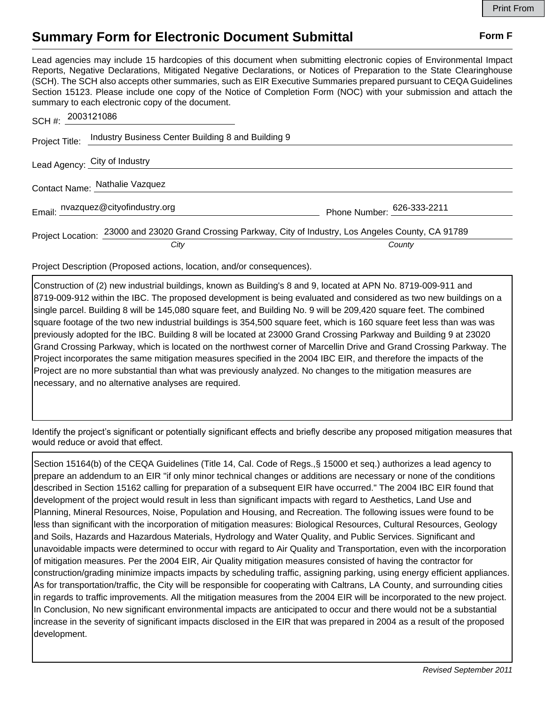## **Summary Form for Electronic Document Submittal Form F Form F**

Lead agencies may include 15 hardcopies of this document when submitting electronic copies of Environmental Impact Reports, Negative Declarations, Mitigated Negative Declarations, or Notices of Preparation to the State Clearinghouse (SCH). The SCH also accepts other summaries, such as EIR Executive Summaries prepared pursuant to CEQA Guidelines Section 15123. Please include one copy of the Notice of Completion Form (NOC) with your submission and attach the summary to each electronic copy of the document.

| SCH#: 2003121086               |                                                                                                          |                            |
|--------------------------------|----------------------------------------------------------------------------------------------------------|----------------------------|
|                                | Project Title: Industry Business Center Building 8 and Building 9                                        |                            |
|                                | Lead Agency: City of Industry                                                                            |                            |
| Contact Name: Nathalie Vazquez |                                                                                                          |                            |
|                                | Email: nvazquez@cityofindustry.org                                                                       | Phone Number: 626-333-2211 |
|                                | Project Location: 23000 and 23020 Grand Crossing Parkway, City of Industry, Los Angeles County, CA 91789 |                            |
|                                | City                                                                                                     | County                     |

Project Description (Proposed actions, location, and/or consequences).

Construction of (2) new industrial buildings, known as Building's 8 and 9, located at APN No. 8719-009-911 and 8719-009-912 within the IBC. The proposed development is being evaluated and considered as two new buildings on a single parcel. Building 8 will be 145,080 square feet, and Building No. 9 will be 209,420 square feet. The combined square footage of the two new industrial buildings is 354,500 square feet, which is 160 square feet less than was was previously adopted for the IBC. Building 8 will be located at 23000 Grand Crossing Parkway and Building 9 at 23020 Grand Crossing Parkway, which is located on the northwest corner of Marcellin Drive and Grand Crossing Parkway. The Project incorporates the same mitigation measures specified in the 2004 IBC EIR, and therefore the impacts of the Project are no more substantial than what was previously analyzed. No changes to the mitigation measures are necessary, and no alternative analyses are required.

Identify the project's significant or potentially significant effects and briefly describe any proposed mitigation measures that would reduce or avoid that effect.

Section 15164(b) of the CEQA Guidelines (Title 14, Cal. Code of Regs.,§ 15000 et seq.) authorizes a lead agency to prepare an addendum to an EIR "if only minor technical changes or additions are necessary or none of the conditions described in Section 15162 calling for preparation of a subsequent EIR have occurred." The 2004 IBC EIR found that development of the project would result in less than significant impacts with regard to Aesthetics, Land Use and Planning, Mineral Resources, Noise, Population and Housing, and Recreation. The following issues were found to be less than significant with the incorporation of mitigation measures: Biological Resources, Cultural Resources, Geology and Soils, Hazards and Hazardous Materials, Hydrology and Water Quality, and Public Services. Significant and unavoidable impacts were determined to occur with regard to Air Quality and Transportation, even with the incorporation of mitigation measures. Per the 2004 EIR, Air Quality mitigation measures consisted of having the contractor for construction/grading minimize impacts impacts by scheduling traffic, assigning parking, using energy efficient appliances. As for transportation/traffic, the City will be responsible for cooperating with Caltrans, LA County, and surrounding cities in regards to traffic improvements. All the mitigation measures from the 2004 EIR will be incorporated to the new project. In Conclusion, No new significant environmental impacts are anticipated to occur and there would not be a substantial increase in the severity of significant impacts disclosed in the EIR that was prepared in 2004 as a result of the proposed development.